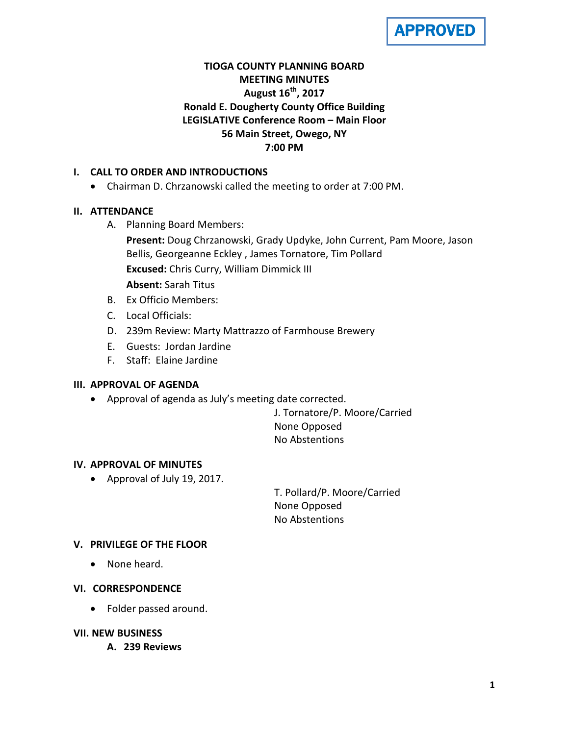

# **TIOGA COUNTY PLANNING BOARD MEETING MINUTES August 16th, 2017 Ronald E. Dougherty County Office Building LEGISLATIVE Conference Room – Main Floor 56 Main Street, Owego, NY 7:00 PM**

## **I. CALL TO ORDER AND INTRODUCTIONS**

• Chairman D. Chrzanowski called the meeting to order at 7:00 PM.

## **II. ATTENDANCE**

- A. Planning Board Members:
	- **Present:** Doug Chrzanowski, Grady Updyke, John Current, Pam Moore, Jason Bellis, Georgeanne Eckley , James Tornatore, Tim Pollard **Excused:** Chris Curry, William Dimmick III **Absent:** Sarah Titus
- B. Ex Officio Members:
- C. Local Officials:
- D. 239m Review: Marty Mattrazzo of Farmhouse Brewery
- E. Guests: Jordan Jardine
- F. Staff: Elaine Jardine

### **III. APPROVAL OF AGENDA**

• Approval of agenda as July's meeting date corrected.

J. Tornatore/P. Moore/Carried None Opposed No Abstentions

### **IV. APPROVAL OF MINUTES**

• Approval of July 19, 2017.

T. Pollard/P. Moore/Carried None Opposed No Abstentions

### **V. PRIVILEGE OF THE FLOOR**

• None heard.

## **VI. CORRESPONDENCE**

• Folder passed around.

## **VII. NEW BUSINESS**

**A. 239 Reviews**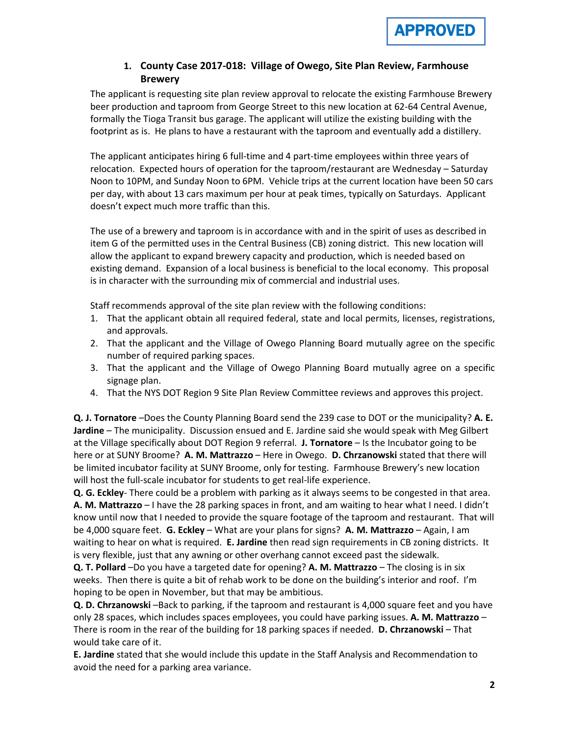

## **1. County Case 2017-018: Village of Owego, Site Plan Review, Farmhouse Brewery**

The applicant is requesting site plan review approval to relocate the existing Farmhouse Brewery beer production and taproom from George Street to this new location at 62-64 Central Avenue, formally the Tioga Transit bus garage. The applicant will utilize the existing building with the footprint as is. He plans to have a restaurant with the taproom and eventually add a distillery.

The applicant anticipates hiring 6 full-time and 4 part-time employees within three years of relocation. Expected hours of operation for the taproom/restaurant are Wednesday – Saturday Noon to 10PM, and Sunday Noon to 6PM. Vehicle trips at the current location have been 50 cars per day, with about 13 cars maximum per hour at peak times, typically on Saturdays. Applicant doesn't expect much more traffic than this.

The use of a brewery and taproom is in accordance with and in the spirit of uses as described in item G of the permitted uses in the Central Business (CB) zoning district. This new location will allow the applicant to expand brewery capacity and production, which is needed based on existing demand. Expansion of a local business is beneficial to the local economy. This proposal is in character with the surrounding mix of commercial and industrial uses.

Staff recommends approval of the site plan review with the following conditions:

- 1. That the applicant obtain all required federal, state and local permits, licenses, registrations, and approvals.
- 2. That the applicant and the Village of Owego Planning Board mutually agree on the specific number of required parking spaces.
- 3. That the applicant and the Village of Owego Planning Board mutually agree on a specific signage plan.
- 4. That the NYS DOT Region 9 Site Plan Review Committee reviews and approves this project.

**Q. J. Tornatore** –Does the County Planning Board send the 239 case to DOT or the municipality? **A. E. Jardine** – The municipality. Discussion ensued and E. Jardine said she would speak with Meg Gilbert at the Village specifically about DOT Region 9 referral. **J. Tornatore** – Is the Incubator going to be here or at SUNY Broome? **A. M. Mattrazzo** – Here in Owego. **D. Chrzanowski** stated that there will be limited incubator facility at SUNY Broome, only for testing. Farmhouse Brewery's new location will host the full-scale incubator for students to get real-life experience.

**Q. G. Eckley**- There could be a problem with parking as it always seems to be congested in that area. **A. M. Mattrazzo** – I have the 28 parking spaces in front, and am waiting to hear what I need. I didn't know until now that I needed to provide the square footage of the taproom and restaurant. That will be 4,000 square feet. **G. Eckley** – What are your plans for signs? **A. M. Mattrazzo** – Again, I am waiting to hear on what is required. **E. Jardine** then read sign requirements in CB zoning districts. It is very flexible, just that any awning or other overhang cannot exceed past the sidewalk.

**Q. T. Pollard** –Do you have a targeted date for opening? **A. M. Mattrazzo** – The closing is in six weeks. Then there is quite a bit of rehab work to be done on the building's interior and roof. I'm hoping to be open in November, but that may be ambitious.

**Q. D. Chrzanowski** –Back to parking, if the taproom and restaurant is 4,000 square feet and you have only 28 spaces, which includes spaces employees, you could have parking issues. **A. M. Mattrazzo** – There is room in the rear of the building for 18 parking spaces if needed. **D. Chrzanowski** – That would take care of it.

**E. Jardine** stated that she would include this update in the Staff Analysis and Recommendation to avoid the need for a parking area variance.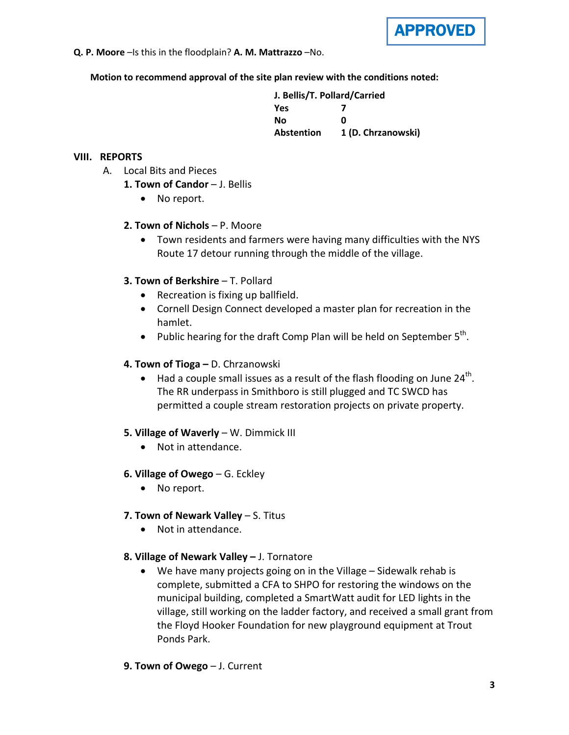

**Q. P. Moore** –Is this in the floodplain? **A. M. Mattrazzo** –No.

**Motion to recommend approval of the site plan review with the conditions noted:**

| J. Bellis/T. Pollard/Carried |                    |
|------------------------------|--------------------|
| <b>Yes</b>                   |                    |
| Nο                           | ŋ                  |
| <b>Abstention</b>            | 1 (D. Chrzanowski) |

## **VIII. REPORTS**

- A. Local Bits and Pieces
	- 1. Town of Candor J. Bellis
		- No report.

## **2. Town of Nichols** – P. Moore

• Town residents and farmers were having many difficulties with the NYS Route 17 detour running through the middle of the village.

# **3. Town of Berkshire** – T. Pollard

- Recreation is fixing up ballfield.
- Cornell Design Connect developed a master plan for recreation in the hamlet.
- Public hearing for the draft Comp Plan will be held on September  $5^{th}$ .

# **4. Town of Tioga –** D. Chrzanowski

• Had a couple small issues as a result of the flash flooding on June  $24<sup>th</sup>$ . The RR underpass in Smithboro is still plugged and TC SWCD has permitted a couple stream restoration projects on private property.

### **5. Village of Waverly** – W. Dimmick III

- Not in attendance.
- **6. Village of Owego** G. Eckley
	- No report.
- **7. Town of Newark Valley** S. Titus
	- Not in attendance.

### **8. Village of Newark Valley –** J. Tornatore

• We have many projects going on in the Village – Sidewalk rehab is complete, submitted a CFA to SHPO for restoring the windows on the municipal building, completed a SmartWatt audit for LED lights in the village, still working on the ladder factory, and received a small grant from the Floyd Hooker Foundation for new playground equipment at Trout Ponds Park.

# **9. Town of Owego** – J. Current